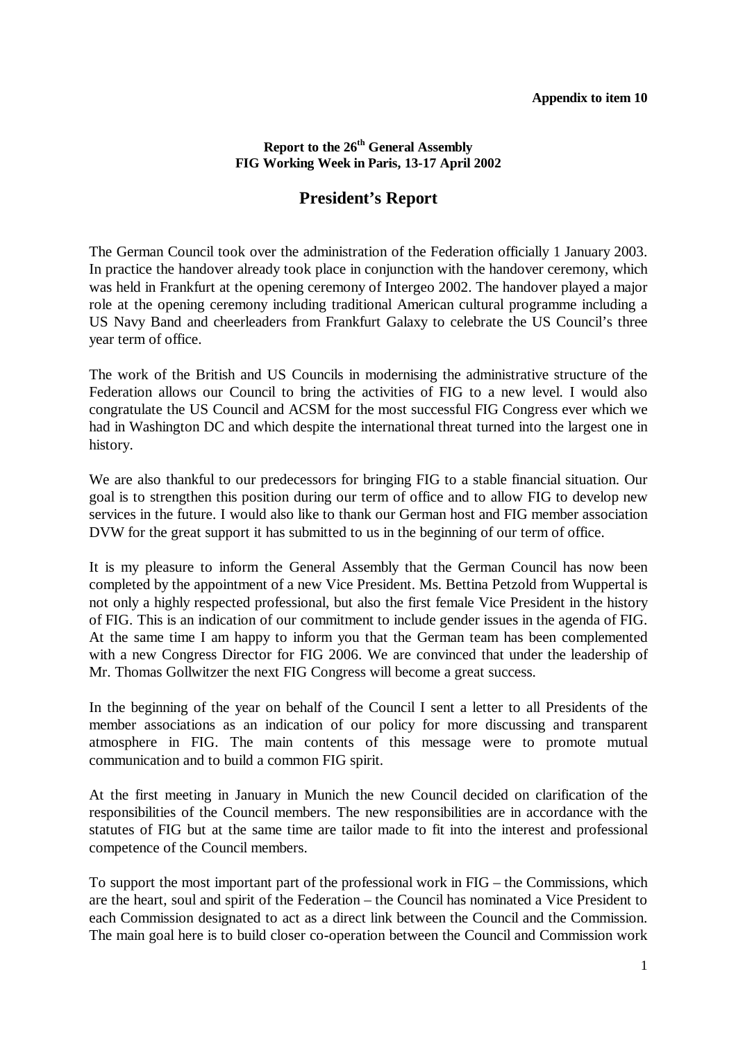## **Report to the 26th General Assembly FIG Working Week in Paris, 13-17 April 2002**

## **President's Report**

The German Council took over the administration of the Federation officially 1 January 2003. In practice the handover already took place in conjunction with the handover ceremony, which was held in Frankfurt at the opening ceremony of Intergeo 2002. The handover played a major role at the opening ceremony including traditional American cultural programme including a US Navy Band and cheerleaders from Frankfurt Galaxy to celebrate the US Council's three year term of office.

The work of the British and US Councils in modernising the administrative structure of the Federation allows our Council to bring the activities of FIG to a new level. I would also congratulate the US Council and ACSM for the most successful FIG Congress ever which we had in Washington DC and which despite the international threat turned into the largest one in history.

We are also thankful to our predecessors for bringing FIG to a stable financial situation. Our goal is to strengthen this position during our term of office and to allow FIG to develop new services in the future. I would also like to thank our German host and FIG member association DVW for the great support it has submitted to us in the beginning of our term of office.

It is my pleasure to inform the General Assembly that the German Council has now been completed by the appointment of a new Vice President. Ms. Bettina Petzold from Wuppertal is not only a highly respected professional, but also the first female Vice President in the history of FIG. This is an indication of our commitment to include gender issues in the agenda of FIG. At the same time I am happy to inform you that the German team has been complemented with a new Congress Director for FIG 2006. We are convinced that under the leadership of Mr. Thomas Gollwitzer the next FIG Congress will become a great success.

In the beginning of the year on behalf of the Council I sent a letter to all Presidents of the member associations as an indication of our policy for more discussing and transparent atmosphere in FIG. The main contents of this message were to promote mutual communication and to build a common FIG spirit.

At the first meeting in January in Munich the new Council decided on clarification of the responsibilities of the Council members. The new responsibilities are in accordance with the statutes of FIG but at the same time are tailor made to fit into the interest and professional competence of the Council members.

To support the most important part of the professional work in FIG – the Commissions, which are the heart, soul and spirit of the Federation – the Council has nominated a Vice President to each Commission designated to act as a direct link between the Council and the Commission. The main goal here is to build closer co-operation between the Council and Commission work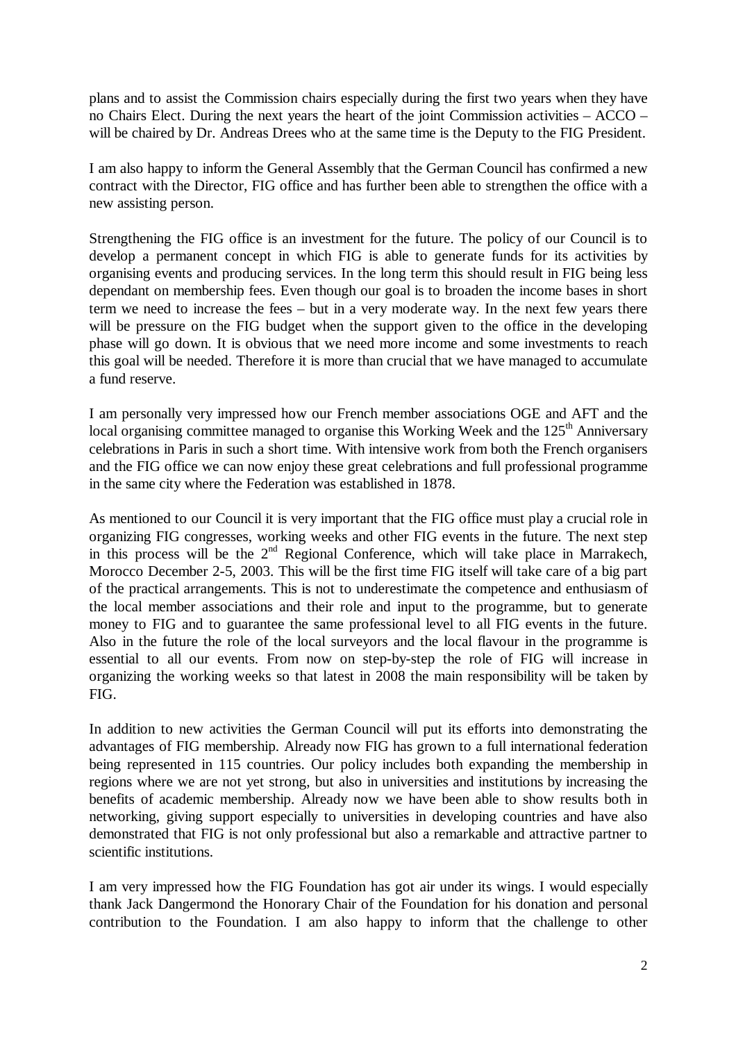plans and to assist the Commission chairs especially during the first two years when they have no Chairs Elect. During the next years the heart of the joint Commission activities – ACCO – will be chaired by Dr. Andreas Drees who at the same time is the Deputy to the FIG President.

I am also happy to inform the General Assembly that the German Council has confirmed a new contract with the Director, FIG office and has further been able to strengthen the office with a new assisting person.

Strengthening the FIG office is an investment for the future. The policy of our Council is to develop a permanent concept in which FIG is able to generate funds for its activities by organising events and producing services. In the long term this should result in FIG being less dependant on membership fees. Even though our goal is to broaden the income bases in short term we need to increase the fees – but in a very moderate way. In the next few years there will be pressure on the FIG budget when the support given to the office in the developing phase will go down. It is obvious that we need more income and some investments to reach this goal will be needed. Therefore it is more than crucial that we have managed to accumulate a fund reserve.

I am personally very impressed how our French member associations OGE and AFT and the local organising committee managed to organise this Working Week and the  $125<sup>th</sup>$  Anniversary celebrations in Paris in such a short time. With intensive work from both the French organisers and the FIG office we can now enjoy these great celebrations and full professional programme in the same city where the Federation was established in 1878.

As mentioned to our Council it is very important that the FIG office must play a crucial role in organizing FIG congresses, working weeks and other FIG events in the future. The next step in this process will be the  $2<sup>nd</sup>$  Regional Conference, which will take place in Marrakech, Morocco December 2-5, 2003. This will be the first time FIG itself will take care of a big part of the practical arrangements. This is not to underestimate the competence and enthusiasm of the local member associations and their role and input to the programme, but to generate money to FIG and to guarantee the same professional level to all FIG events in the future. Also in the future the role of the local surveyors and the local flavour in the programme is essential to all our events. From now on step-by-step the role of FIG will increase in organizing the working weeks so that latest in 2008 the main responsibility will be taken by FIG.

In addition to new activities the German Council will put its efforts into demonstrating the advantages of FIG membership. Already now FIG has grown to a full international federation being represented in 115 countries. Our policy includes both expanding the membership in regions where we are not yet strong, but also in universities and institutions by increasing the benefits of academic membership. Already now we have been able to show results both in networking, giving support especially to universities in developing countries and have also demonstrated that FIG is not only professional but also a remarkable and attractive partner to scientific institutions.

I am very impressed how the FIG Foundation has got air under its wings. I would especially thank Jack Dangermond the Honorary Chair of the Foundation for his donation and personal contribution to the Foundation. I am also happy to inform that the challenge to other